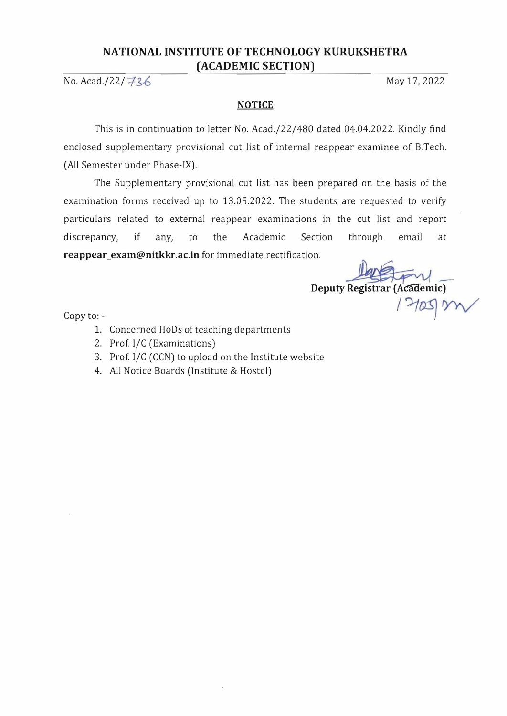# **NATIONAL INSTITUTE OF TECHNOLOGY KURUKSHETRA (ACADEMIC SECTION)**

No. Acad./22/7/36 May 17, 2022

# **NOTICE**

This is in continuation to letter No. Acad./22/480 dated 04.04.2022. Kindly find enclosed supplementary provisional cut list of internal reappear examinee of B.Tech. (All Semester under Phase-IX).

The Supplementary provisional cut list has been prepared on the basis of the examination forms received up to 13.05.2022. The students are requested to verify particulars related to external reappear examinations in the cut list and report discrepancy, if any, to the Academic Section through email at **reappear\_exam@nitkkr.ac.in** for immediate rectification.

Deputy Registrar (Academic)

 $\log$  to:  $\log N$ 

- 1. Concerned HoDs of teaching departments
- 2. Prof. I/C (Examinations)
- 3. Prof. I/C (CCN) to upload on the Institute website
- 4. All Notice Boards (Institute & Hostel)